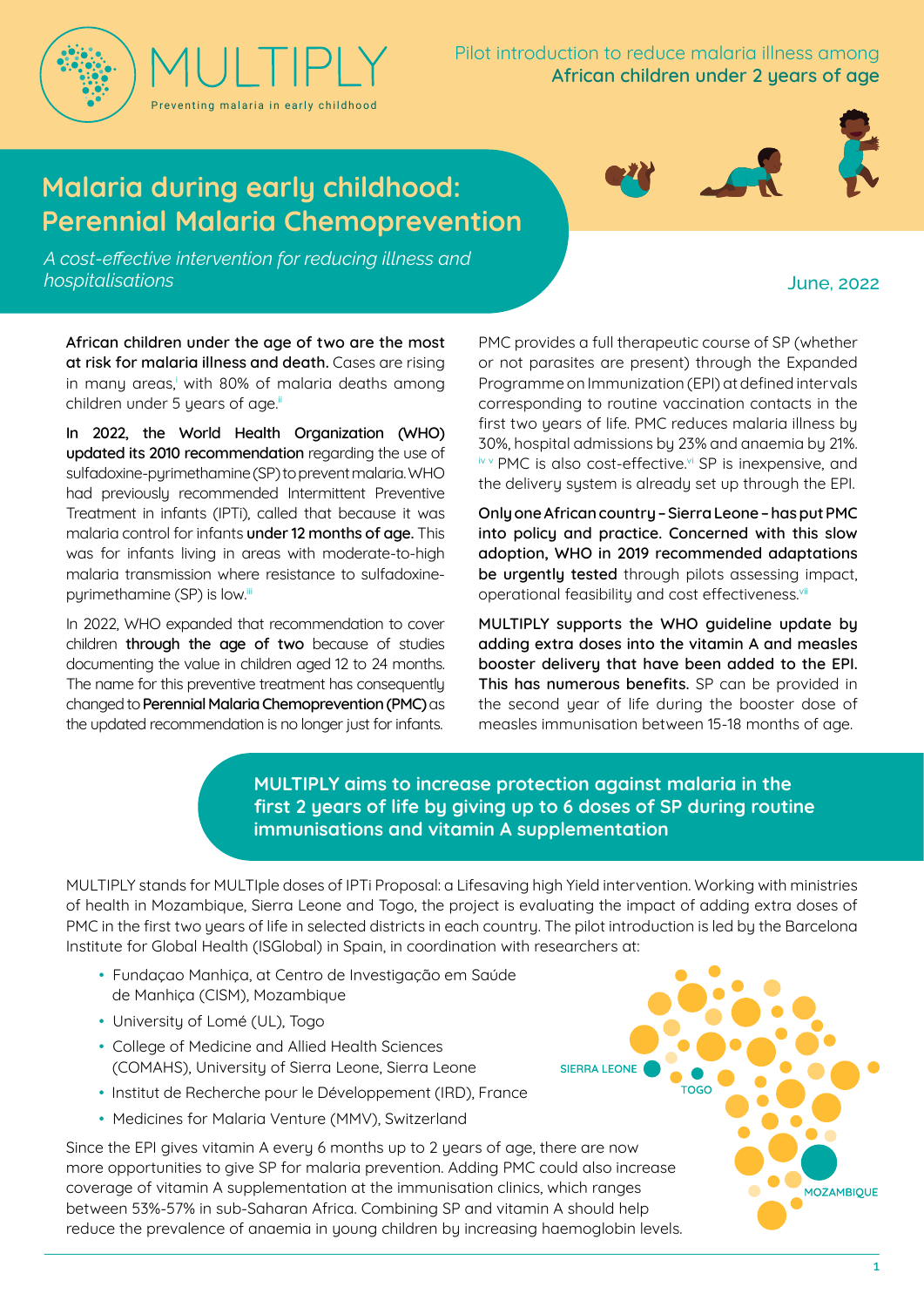

Pilot introduction to reduce malaria illness among **African children under 2 years of age**

# **Malaria during early childhood: Perennial Malaria Chemoprevention**

*A cost-effective intervention for reducing illness and hospitalisations*

#### June, 2022

**African children under the age of two are the most at risk for malaria illness and death.** Cases are rising in many areas, with 80% of malaria deaths among children under 5 years of age.<sup>ii</sup>

**In 2022, the World Health Organization (WHO) updated its 2010 recommendation** regarding the use of sulfadoxine-pyrimethamine (SP) to prevent malaria. WHO had previously recommended Intermittent Preventive Treatment in infants (IPTi), called that because it was malaria control for infants **under 12 months of age.** This was for infants living in areas with moderate-to-high malaria transmission where resistance to sulfadoxinepyrimethamine (SP) is low.iii

In 2022, WHO expanded that recommendation to cover children **through the age of two** because of studies documenting the value in children aged 12 to 24 months. The name for this preventive treatment has consequently changed to **Perennial Malaria Chemoprevention (PMC)** as the updated recommendation is no longer just for infants.

PMC provides a full therapeutic course of SP (whether or not parasites are present) through the Expanded Programme on Immunization (EPI) at defined intervals corresponding to routine vaccination contacts in the first two years of life. PMC reduces malaria illness by 30%, hospital admissions by 23% and anaemia by 21%. iv v PMC is also cost-effective.<sup>vi</sup> SP is inexpensive, and the delivery system is already set up through the EPI.

**Onlyone African country – Sierra Leone – has put PMC into policy and practice. Concerned with this slow adoption, WHO in 2019 recommended adaptations be urgently tested** through pilots assessing impact, operational feasibility and cost effectiveness.<sup>vii</sup>

**MULTIPLY supports the WHO guideline update by adding extra doses into the vitamin A and measles booster delivery that have been added to the EPI. This has numerous benefits.** SP can be provided in the second year of life during the booster dose of measles immunisation between 15-18 months of age.

**MULTIPLY aims to increase protection against malaria in the first 2 years of life by giving up to 6 doses of SP during routine immunisations and vitamin A supplementation**

MULTIPLY stands for MULTIple doses of IPTi Proposal: a Lifesaving high Yield intervention. Working with ministries of health in Mozambique, Sierra Leone and Togo, the project is evaluating the impact of adding extra doses of PMC in the first two years of life in selected districts in each country. The pilot introduction is led by the Barcelona Institute for Global Health (ISGlobal) in Spain, in coordination with researchers at:

- Fundaçao Manhiça, at Centro de Investigação em Saúde de Manhiça (CISM), Mozambique
- University of Lomé (UL), Togo
- College of Medicine and Allied Health Sciences (COMAHS), University of Sierra Leone, Sierra Leone
- Institut de Recherche pour le Développement (IRD), France
- Medicines for Malaria Venture (MMV), Switzerland

Since the EPI gives vitamin A every 6 months up to 2 years of age, there are now more opportunities to give SP for malaria prevention. Adding PMC could also increase coverage of vitamin A supplementation at the immunisation clinics, which ranges between 53%-57% in sub-Saharan Africa. Combining SP and vitamin A should help reduce the prevalence of anaemia in young children by increasing haemoglobin levels.